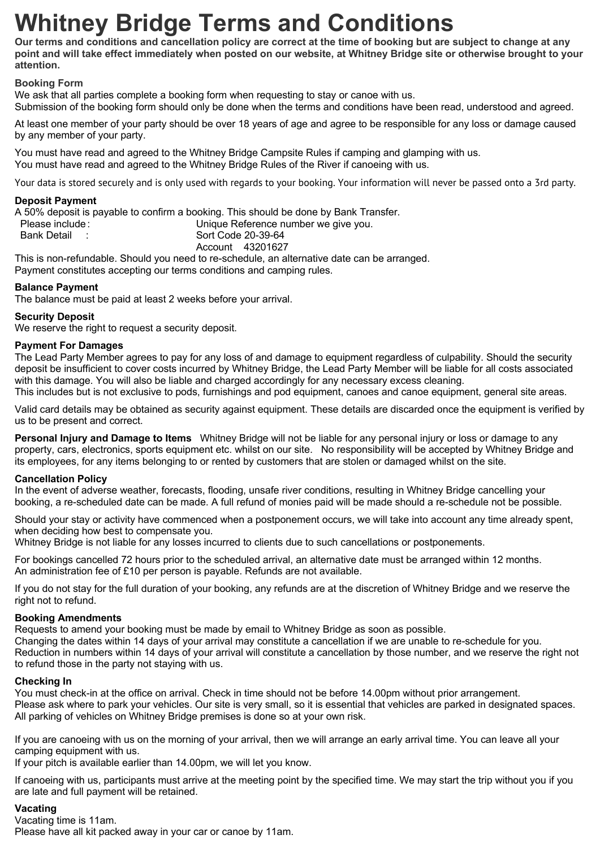# **Whitney Bridge Terms and Conditions**

**Our terms and conditions and cancellation policy are correct at the time of booking but are subject to change at any point and will take effect immediately when posted on our website, at Whitney Bridge site or otherwise brought to your attention.**

# **Booking Form**

We ask that all parties complete a booking form when requesting to stay or canoe with us.

Submission of the booking form should only be done when the terms and conditions have been read, understood and agreed.

At least one member of your party should be over 18 years of age and agree to be responsible for any loss or damage caused by any member of your party.

You must have read and agreed to the Whitney Bridge Campsite Rules if camping and glamping with us. You must have read and agreed to the Whitney Bridge Rules of the River if canoeing with us.

Your data is stored securely and is only used with regards to your booking. Your information will never be passed onto a 3rd party.

# **Deposit Payment**

A 50% deposit is payable to confirm a booking. This should be done by Bank Transfer.

| Please include: | Unique Reference number we give you. |
|-----------------|--------------------------------------|
| Bank Detail :   | Sort Code 20-39-64                   |
|                 | Account 43201627                     |

This is non-refundable. Should you need to re-schedule, an alternative date can be arranged. Payment constitutes accepting our terms conditions and camping rules.

# **Balance Payment**

The balance must be paid at least 2 weeks before your arrival.

#### **Security Deposit**

We reserve the right to request a security deposit.

# **Payment For Damages**

The Lead Party Member agrees to pay for any loss of and damage to equipment regardless of culpability. Should the security deposit be insufficient to cover costs incurred by Whitney Bridge, the Lead Party Member will be liable for all costs associated with this damage. You will also be liable and charged accordingly for any necessary excess cleaning. This includes but is not exclusive to pods, furnishings and pod equipment, canoes and canoe equipment, general site areas.

Valid card details may be obtained as security against equipment. These details are discarded once the equipment is verified by us to be present and correct.

**Personal Injury and Damage to Items** Whitney Bridge will not be liable for any personal injury or loss or damage to any property, cars, electronics, sports equipment etc. whilst on our site.No responsibility will be accepted by Whitney Bridge and its employees, for any items belonging to or rented by customers that are stolen or damaged whilst on the site.

#### **Cancellation Policy**

In the event of adverse weather, forecasts, flooding, unsafe river conditions, resulting in Whitney Bridge cancelling your booking, a re-scheduled date can be made. A full refund of monies paid will be made should a re-schedule not be possible.

Should your stay or activity have commenced when a postponement occurs, we will take into account any time already spent, when deciding how best to compensate you.

Whitney Bridge is not liable for any losses incurred to clients due to such cancellations or postponements.

For bookings cancelled 72 hours prior to the scheduled arrival, an alternative date must be arranged within 12 months. An administration fee of £10 per person is payable. Refunds are not available.

If you do not stay for the full duration of your booking, any refunds are at the discretion of Whitney Bridge and we reserve the right not to refund.

# **Booking Amendments**

Requests to amend your booking must be made by email to Whitney Bridge as soon as possible. Changing the dates within 14 days of your arrival may constitute a cancellation if we are unable to re-schedule for you. Reduction in numbers within 14 days of your arrival will constitute a cancellation by those number, and we reserve the right not to refund those in the party not staying with us.

#### **Checking In**

You must check-in at the office on arrival. Check in time should not be before 14.00pm without prior arrangement. Please ask where to park your vehicles. Our site is very small, so it is essential that vehicles are parked in designated spaces. All parking of vehicles on Whitney Bridge premises is done so at your own risk.

If you are canoeing with us on the morning of your arrival, then we will arrange an early arrival time. You can leave all your camping equipment with us.

If your pitch is available earlier than 14.00pm, we will let you know.

If canoeing with us, participants must arrive at the meeting point by the specified time. We may start the trip without you if you are late and full payment will be retained.

# **Vacating**

Vacating time is 11am. Please have all kit packed away in your car or canoe by 11am.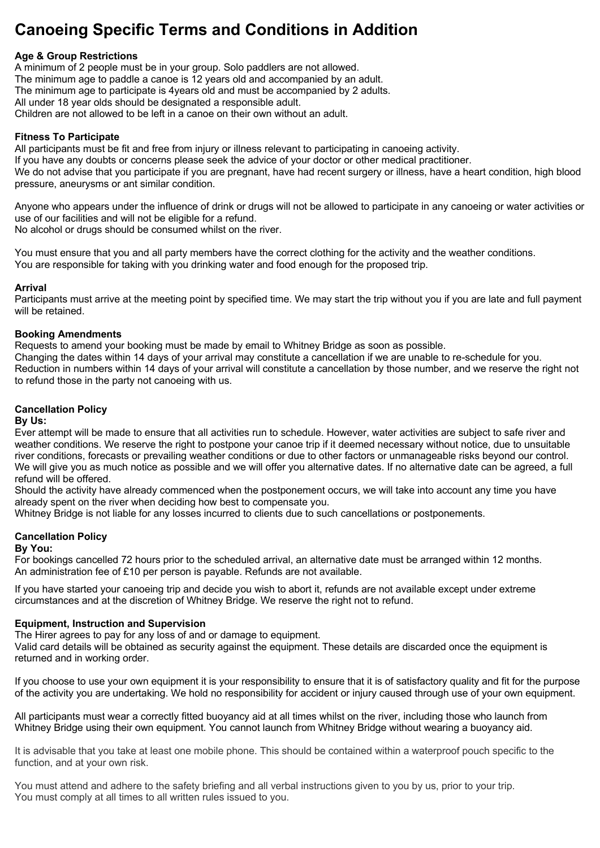# **Canoeing Specific Terms and Conditions in Addition**

# **Age & Group Restrictions**

A minimum of 2 people must be in your group. Solo paddlers are not allowed. The minimum age to paddle a canoe is 12 years old and accompanied by an adult. The minimum age to participate is 4years old and must be accompanied by 2 adults. All under 18 year olds should be designated a responsible adult. Children are not allowed to be left in a canoe on their own without an adult.

#### **Fitness To Participate**

All participants must be fit and free from injury or illness relevant to participating in canoeing activity. If you have any doubts or concerns please seek the advice of your doctor or other medical practitioner. We do not advise that you participate if you are pregnant, have had recent surgery or illness, have a heart condition, high blood pressure, aneurysms or ant similar condition.

Anyone who appears under the influence of drink or drugs will not be allowed to participate in any canoeing or water activities or use of our facilities and will not be eligible for a refund. No alcohol or drugs should be consumed whilst on the river.

You must ensure that you and all party members have the correct clothing for the activity and the weather conditions. You are responsible for taking with you drinking water and food enough for the proposed trip.

#### **Arrival**

Participants must arrive at the meeting point by specified time. We may start the trip without you if you are late and full payment will be retained.

#### **Booking Amendments**

Requests to amend your booking must be made by email to Whitney Bridge as soon as possible. Changing the dates within 14 days of your arrival may constitute a cancellation if we are unable to re-schedule for you. Reduction in numbers within 14 days of your arrival will constitute a cancellation by those number, and we reserve the right not to refund those in the party not canoeing with us.

# **Cancellation Policy**

#### **By Us:**

Ever attempt will be made to ensure that all activities run to schedule. However, water activities are subject to safe river and weather conditions. We reserve the right to postpone your canoe trip if it deemed necessary without notice, due to unsuitable river conditions, forecasts or prevailing weather conditions or due to other factors or unmanageable risks beyond our control. We will give you as much notice as possible and we will offer you alternative dates. If no alternative date can be agreed, a full refund will be offered.

Should the activity have already commenced when the postponement occurs, we will take into account any time you have already spent on the river when deciding how best to compensate you.

Whitney Bridge is not liable for any losses incurred to clients due to such cancellations or postponements.

# **Cancellation Policy**

#### **By You:**

For bookings cancelled 72 hours prior to the scheduled arrival, an alternative date must be arranged within 12 months. An administration fee of £10 per person is payable. Refunds are not available.

If you have started your canoeing trip and decide you wish to abort it, refunds are not available except under extreme circumstances and at the discretion of Whitney Bridge. We reserve the right not to refund.

# **Equipment, Instruction and Supervision**

The Hirer agrees to pay for any loss of and or damage to equipment.

Valid card details will be obtained as security against the equipment. These details are discarded once the equipment is returned and in working order.

If you choose to use your own equipment it is your responsibility to ensure that it is of satisfactory quality and fit for the purpose of the activity you are undertaking. We hold no responsibility for accident or injury caused through use of your own equipment.

All participants must wear a correctly fitted buoyancy aid at all times whilst on the river, including those who launch from Whitney Bridge using their own equipment. You cannot launch from Whitney Bridge without wearing a buoyancy aid.

It is advisable that you take at least one mobile phone. This should be contained within a waterproof pouch specific to the function, and at your own risk.

You must attend and adhere to the safety briefing and all verbal instructions given to you by us, prior to your trip. You must comply at all times to all written rules issued to you.